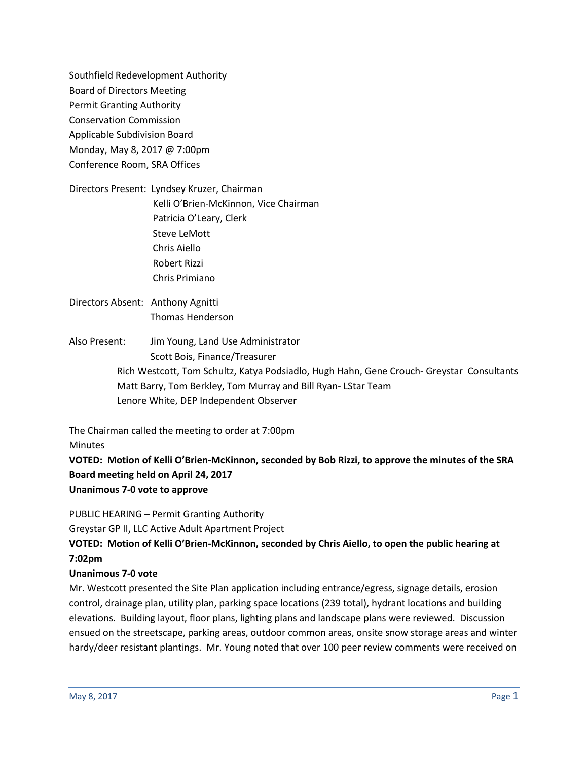Southfield Redevelopment Authority Board of Directors Meeting Permit Granting Authority Conservation Commission Applicable Subdivision Board Monday, May 8, 2017 @ 7:00pm Conference Room, SRA Offices

Directors Present: Lyndsey Kruzer, Chairman Kelli O'Brien-McKinnon, Vice Chairman Patricia O'Leary, Clerk Steve LeMott Chris Aiello Robert Rizzi Chris Primiano

# Directors Absent: Anthony Agnitti Thomas Henderson

Also Present: Jim Young, Land Use Administrator Scott Bois, Finance/Treasurer Rich Westcott, Tom Schultz, Katya Podsiadlo, Hugh Hahn, Gene Crouch- Greystar Consultants Matt Barry, Tom Berkley, Tom Murray and Bill Ryan- LStar Team Lenore White, DEP Independent Observer

The Chairman called the meeting to order at 7:00pm **Minutes** 

**VOTED: Motion of Kelli O'Brien-McKinnon, seconded by Bob Rizzi, to approve the minutes of the SRA Board meeting held on April 24, 2017 Unanimous 7-0 vote to approve**

PUBLIC HEARING – Permit Granting Authority

Greystar GP II, LLC Active Adult Apartment Project

**VOTED: Motion of Kelli O'Brien-McKinnon, seconded by Chris Aiello, to open the public hearing at 7:02pm**

## **Unanimous 7-0 vote**

Mr. Westcott presented the Site Plan application including entrance/egress, signage details, erosion control, drainage plan, utility plan, parking space locations (239 total), hydrant locations and building elevations. Building layout, floor plans, lighting plans and landscape plans were reviewed. Discussion ensued on the streetscape, parking areas, outdoor common areas, onsite snow storage areas and winter hardy/deer resistant plantings. Mr. Young noted that over 100 peer review comments were received on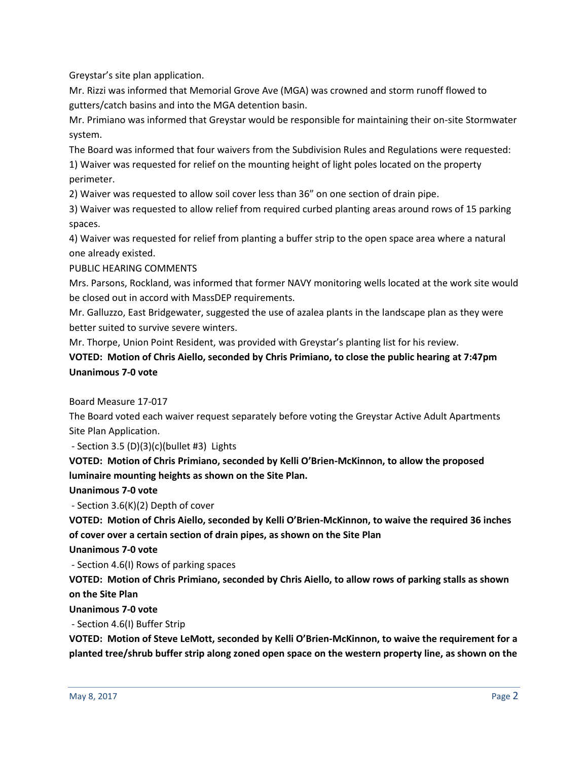Greystar's site plan application.

Mr. Rizzi was informed that Memorial Grove Ave (MGA) was crowned and storm runoff flowed to gutters/catch basins and into the MGA detention basin.

Mr. Primiano was informed that Greystar would be responsible for maintaining their on-site Stormwater system.

The Board was informed that four waivers from the Subdivision Rules and Regulations were requested:

1) Waiver was requested for relief on the mounting height of light poles located on the property perimeter.

2) Waiver was requested to allow soil cover less than 36" on one section of drain pipe.

3) Waiver was requested to allow relief from required curbed planting areas around rows of 15 parking spaces.

4) Waiver was requested for relief from planting a buffer strip to the open space area where a natural one already existed.

PUBLIC HEARING COMMENTS

Mrs. Parsons, Rockland, was informed that former NAVY monitoring wells located at the work site would be closed out in accord with MassDEP requirements.

Mr. Galluzzo, East Bridgewater, suggested the use of azalea plants in the landscape plan as they were better suited to survive severe winters.

Mr. Thorpe, Union Point Resident, was provided with Greystar's planting list for his review.

## **VOTED: Motion of Chris Aiello, seconded by Chris Primiano, to close the public hearing at 7:47pm Unanimous 7-0 vote**

Board Measure 17-017

The Board voted each waiver request separately before voting the Greystar Active Adult Apartments Site Plan Application.

- Section 3.5  $(D)(3)(c)(bullet #3)$  Lights

**VOTED: Motion of Chris Primiano, seconded by Kelli O'Brien-McKinnon, to allow the proposed luminaire mounting heights as shown on the Site Plan.** 

### **Unanimous 7-0 vote**

- Section 3.6(K)(2) Depth of cover

**VOTED: Motion of Chris Aiello, seconded by Kelli O'Brien-McKinnon, to waive the required 36 inches of cover over a certain section of drain pipes, as shown on the Site Plan**

**Unanimous 7-0 vote**

- Section 4.6(I) Rows of parking spaces

**VOTED: Motion of Chris Primiano, seconded by Chris Aiello, to allow rows of parking stalls as shown on the Site Plan**

**Unanimous 7-0 vote**

- Section 4.6(I) Buffer Strip

**VOTED: Motion of Steve LeMott, seconded by Kelli O'Brien-McKinnon, to waive the requirement for a planted tree/shrub buffer strip along zoned open space on the western property line, as shown on the**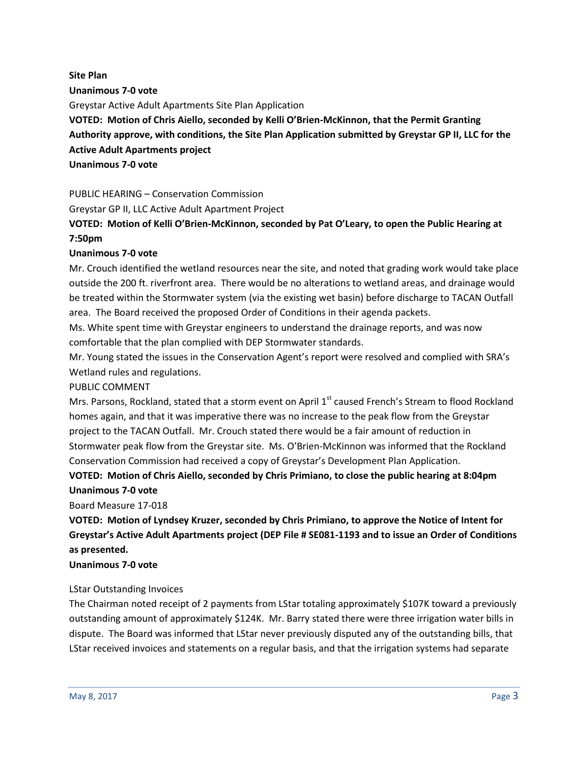**Site Plan Unanimous 7-0 vote** Greystar Active Adult Apartments Site Plan Application **VOTED: Motion of Chris Aiello, seconded by Kelli O'Brien-McKinnon, that the Permit Granting Authority approve, with conditions, the Site Plan Application submitted by Greystar GP II, LLC for the Active Adult Apartments project Unanimous 7-0 vote** 

PUBLIC HEARING – Conservation Commission Greystar GP II, LLC Active Adult Apartment Project

## **VOTED: Motion of Kelli O'Brien-McKinnon, seconded by Pat O'Leary, to open the Public Hearing at 7:50pm**

## **Unanimous 7-0 vote**

Mr. Crouch identified the wetland resources near the site, and noted that grading work would take place outside the 200 ft. riverfront area. There would be no alterations to wetland areas, and drainage would be treated within the Stormwater system (via the existing wet basin) before discharge to TACAN Outfall area. The Board received the proposed Order of Conditions in their agenda packets.

Ms. White spent time with Greystar engineers to understand the drainage reports, and was now comfortable that the plan complied with DEP Stormwater standards.

Mr. Young stated the issues in the Conservation Agent's report were resolved and complied with SRA's Wetland rules and regulations.

### PUBLIC COMMENT

Mrs. Parsons, Rockland, stated that a storm event on April 1<sup>st</sup> caused French's Stream to flood Rockland homes again, and that it was imperative there was no increase to the peak flow from the Greystar project to the TACAN Outfall. Mr. Crouch stated there would be a fair amount of reduction in Stormwater peak flow from the Greystar site. Ms. O'Brien-McKinnon was informed that the Rockland Conservation Commission had received a copy of Greystar's Development Plan Application.

# **VOTED: Motion of Chris Aiello, seconded by Chris Primiano, to close the public hearing at 8:04pm Unanimous 7-0 vote**

### Board Measure 17-018

**VOTED: Motion of Lyndsey Kruzer, seconded by Chris Primiano, to approve the Notice of Intent for Greystar's Active Adult Apartments project (DEP File # SE081-1193 and to issue an Order of Conditions as presented.**

### **Unanimous 7-0 vote**

## LStar Outstanding Invoices

The Chairman noted receipt of 2 payments from LStar totaling approximately \$107K toward a previously outstanding amount of approximately \$124K. Mr. Barry stated there were three irrigation water bills in dispute. The Board was informed that LStar never previously disputed any of the outstanding bills, that LStar received invoices and statements on a regular basis, and that the irrigation systems had separate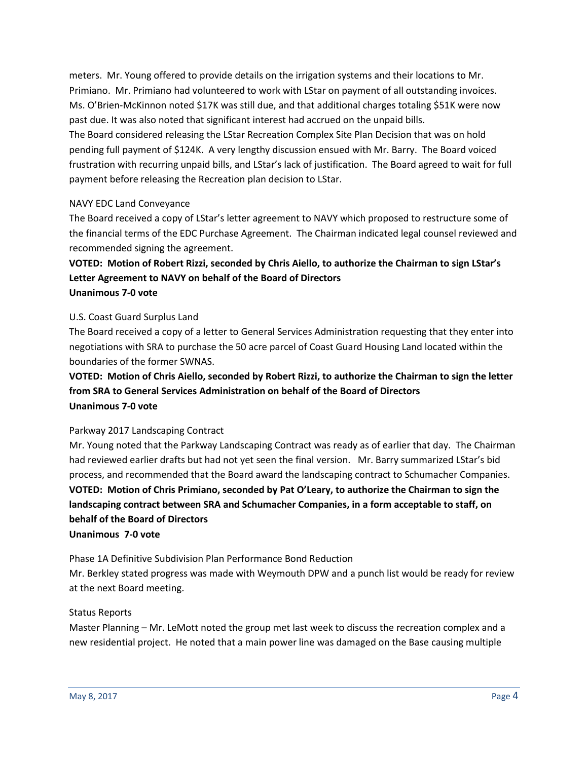meters. Mr. Young offered to provide details on the irrigation systems and their locations to Mr. Primiano. Mr. Primiano had volunteered to work with LStar on payment of all outstanding invoices. Ms. O'Brien-McKinnon noted \$17K was still due, and that additional charges totaling \$51K were now past due. It was also noted that significant interest had accrued on the unpaid bills. The Board considered releasing the LStar Recreation Complex Site Plan Decision that was on hold pending full payment of \$124K. A very lengthy discussion ensued with Mr. Barry. The Board voiced frustration with recurring unpaid bills, and LStar's lack of justification. The Board agreed to wait for full payment before releasing the Recreation plan decision to LStar.

### NAVY EDC Land Conveyance

The Board received a copy of LStar's letter agreement to NAVY which proposed to restructure some of the financial terms of the EDC Purchase Agreement. The Chairman indicated legal counsel reviewed and recommended signing the agreement.

## **VOTED: Motion of Robert Rizzi, seconded by Chris Aiello, to authorize the Chairman to sign LStar's Letter Agreement to NAVY on behalf of the Board of Directors Unanimous 7-0 vote**

### U.S. Coast Guard Surplus Land

The Board received a copy of a letter to General Services Administration requesting that they enter into negotiations with SRA to purchase the 50 acre parcel of Coast Guard Housing Land located within the boundaries of the former SWNAS.

## **VOTED: Motion of Chris Aiello, seconded by Robert Rizzi, to authorize the Chairman to sign the letter from SRA to General Services Administration on behalf of the Board of Directors Unanimous 7-0 vote**

### Parkway 2017 Landscaping Contract

Mr. Young noted that the Parkway Landscaping Contract was ready as of earlier that day. The Chairman had reviewed earlier drafts but had not yet seen the final version. Mr. Barry summarized LStar's bid process, and recommended that the Board award the landscaping contract to Schumacher Companies. **VOTED: Motion of Chris Primiano, seconded by Pat O'Leary, to authorize the Chairman to sign the landscaping contract between SRA and Schumacher Companies, in a form acceptable to staff, on behalf of the Board of Directors**

### **Unanimous 7-0 vote**

Phase 1A Definitive Subdivision Plan Performance Bond Reduction Mr. Berkley stated progress was made with Weymouth DPW and a punch list would be ready for review at the next Board meeting.

### Status Reports

Master Planning – Mr. LeMott noted the group met last week to discuss the recreation complex and a new residential project. He noted that a main power line was damaged on the Base causing multiple